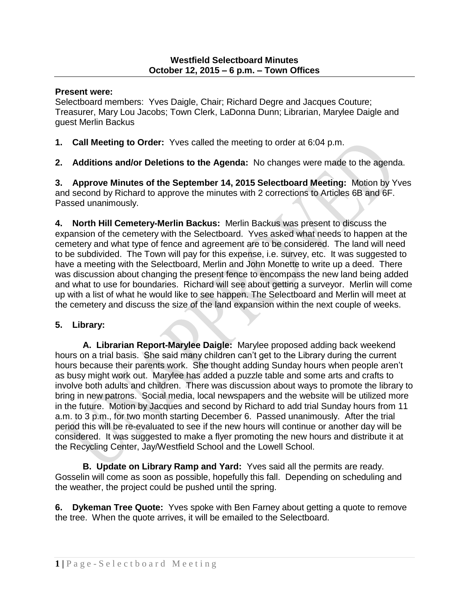## **Present were:**

Selectboard members: Yves Daigle, Chair; Richard Degre and Jacques Couture; Treasurer, Mary Lou Jacobs; Town Clerk, LaDonna Dunn; Librarian, Marylee Daigle and guest Merlin Backus

**1. Call Meeting to Order:** Yves called the meeting to order at 6:04 p.m.

**2. Additions and/or Deletions to the Agenda:** No changes were made to the agenda.

**3. Approve Minutes of the September 14, 2015 Selectboard Meeting:** Motion by Yves and second by Richard to approve the minutes with 2 corrections to Articles 6B and 6F. Passed unanimously.

**4. North Hill Cemetery-Merlin Backus:** Merlin Backus was present to discuss the expansion of the cemetery with the Selectboard. Yves asked what needs to happen at the cemetery and what type of fence and agreement are to be considered. The land will need to be subdivided. The Town will pay for this expense, i.e. survey, etc. It was suggested to have a meeting with the Selectboard, Merlin and John Monette to write up a deed. There was discussion about changing the present fence to encompass the new land being added and what to use for boundaries. Richard will see about getting a surveyor. Merlin will come up with a list of what he would like to see happen. The Selectboard and Merlin will meet at the cemetery and discuss the size of the land expansion within the next couple of weeks.

## **5. Library:**

**A. Librarian Report-Marylee Daigle:** Marylee proposed adding back weekend hours on a trial basis. She said many children can't get to the Library during the current hours because their parents work. She thought adding Sunday hours when people aren't as busy might work out. Marylee has added a puzzle table and some arts and crafts to involve both adults and children. There was discussion about ways to promote the library to bring in new patrons. Social media, local newspapers and the website will be utilized more in the future. Motion by Jacques and second by Richard to add trial Sunday hours from 11 a.m. to 3 p.m., for two month starting December 6. Passed unanimously. After the trial period this will be re-evaluated to see if the new hours will continue or another day will be considered. It was suggested to make a flyer promoting the new hours and distribute it at the Recycling Center, Jay/Westfield School and the Lowell School.

**B. Update on Library Ramp and Yard:** Yves said all the permits are ready. Gosselin will come as soon as possible, hopefully this fall. Depending on scheduling and the weather, the project could be pushed until the spring.

**6. Dykeman Tree Quote:** Yves spoke with Ben Farney about getting a quote to remove the tree. When the quote arrives, it will be emailed to the Selectboard.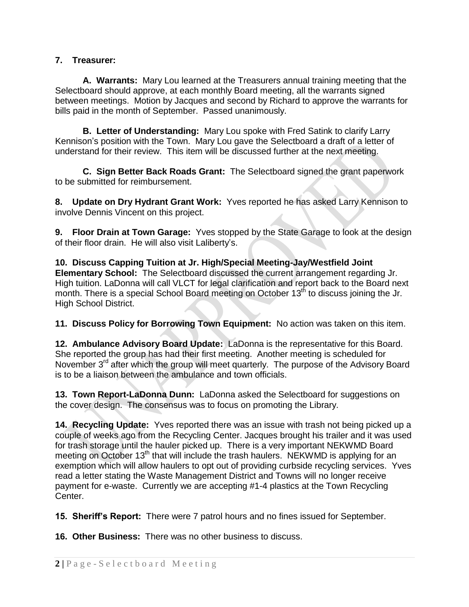## **7. Treasurer:**

**A. Warrants:** Mary Lou learned at the Treasurers annual training meeting that the Selectboard should approve, at each monthly Board meeting, all the warrants signed between meetings. Motion by Jacques and second by Richard to approve the warrants for bills paid in the month of September. Passed unanimously.

**B. Letter of Understanding:** Mary Lou spoke with Fred Satink to clarify Larry Kennison's position with the Town.Mary Lou gave the Selectboard a draft of a letter of understand for their review. This item will be discussed further at the next meeting.

**C. Sign Better Back Roads Grant:** The Selectboard signed the grant paperwork to be submitted for reimbursement.

**8. Update on Dry Hydrant Grant Work:** Yves reported he has asked Larry Kennison to involve Dennis Vincent on this project.

**9. Floor Drain at Town Garage:** Yves stopped by the State Garage to look at the design of their floor drain. He will also visit Laliberty's.

**10. Discuss Capping Tuition at Jr. High/Special Meeting-Jay/Westfield Joint Elementary School:** The Selectboard discussed the current arrangement regarding Jr. High tuition. LaDonna will call VLCT for legal clarification and report back to the Board next month. There is a special School Board meeting on October 13<sup>th</sup> to discuss joining the Jr. High School District.

**11. Discuss Policy for Borrowing Town Equipment:** No action was taken on this item.

**12. Ambulance Advisory Board Update:** LaDonna is the representative for this Board. She reported the group has had their first meeting. Another meeting is scheduled for November 3<sup>rd</sup> after which the group will meet quarterly. The purpose of the Advisory Board is to be a liaison between the ambulance and town officials.

**13. Town Report-LaDonna Dunn:** LaDonna asked the Selectboard for suggestions on the cover design. The consensus was to focus on promoting the Library.

**14. Recycling Update:** Yves reported there was an issue with trash not being picked up a couple of weeks ago from the Recycling Center. Jacques brought his trailer and it was used for trash storage until the hauler picked up. There is a very important NEKWMD Board meeting on October 13<sup>th</sup> that will include the trash haulers. NEKWMD is applying for an exemption which will allow haulers to opt out of providing curbside recycling services. Yves read a letter stating the Waste Management District and Towns will no longer receive payment for e-waste. Currently we are accepting #1-4 plastics at the Town Recycling Center.

**15. Sheriff's Report:** There were 7 patrol hours and no fines issued for September.

**16. Other Business:** There was no other business to discuss.